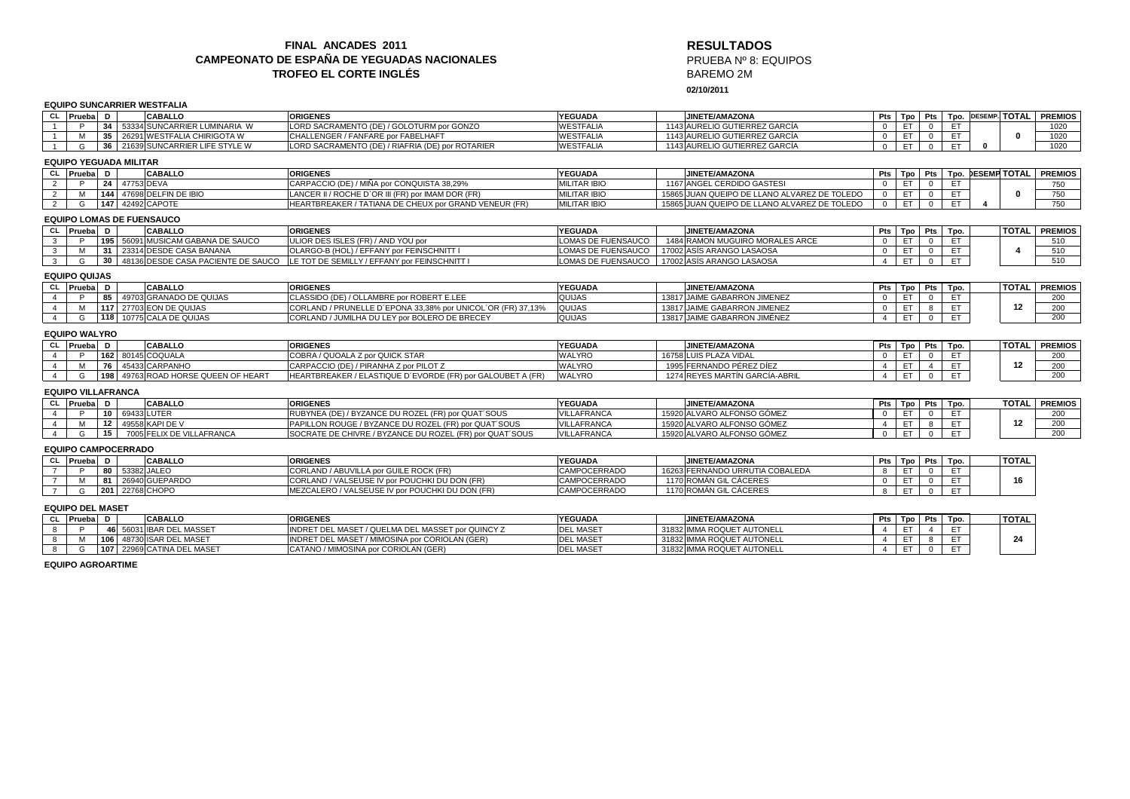## **FINAL ANCADES 2011 CAMPEONATO DE ESPAÑA DE YEGUADAS NACIONALESTROFEO EL CORTE INGLÉS**

# **RESULTADOS** PRUEBA Nº 8: EQUIPOSBAREMO 2M

**24**

**02/10/2011**

## **EQUIPO SUNCARRIER WESTFALIA**

|                |                                  |                  |               | LQUIFO JUNCAMMEN WEJH ALIA         |                                                             |                     |  |                                              |                |     |                 |      |              |                   |                         |
|----------------|----------------------------------|------------------|---------------|------------------------------------|-------------------------------------------------------------|---------------------|--|----------------------------------------------|----------------|-----|-----------------|------|--------------|-------------------|-------------------------|
|                | CL Prueba D                      |                  |               | <b>CABALLO</b>                     | <b>ORIGENES</b>                                             | <b>YEGUADA</b>      |  | <b>JINETE/AMAZONA</b>                        |                |     | Pts Tpo Pts     | Tpo. |              |                   | DESEMP. TOTAL   PREMIOS |
| $\overline{1}$ | Þ                                |                  |               | 34 53334 SUNCARRIER LUMINARIA W    | LORD SACRAMENTO (DE) / GOLOTURM por GONZO                   | <b>WESTFALIA</b>    |  | 1143 AURELIO GUTIERREZ GARCÍA                |                | ET. | $^{\circ}$      | ET.  |              |                   | 1020                    |
|                | м                                |                  |               | 35 26291 WESTFALIA CHIRIGOTA W     | CHALLENGER / FANFARE por FABELHAFT                          | <b>WESTFALIA</b>    |  | 1143 AURELIO GUTIERREZ GARCÍA                |                | ET. | $\mathbf{0}$    | ET.  |              | $\Omega$          | 1020                    |
|                | G                                | 36               |               | 21639 SUNCARRIER LIFE STYLE W      | LORD SACRAMENTO (DE) / RIAFRIA (DE) por ROTARIER            | WESTFALIA           |  | 1143 AURELIO GUTIERREZ GARCÍA                | $\Omega$       | ET. | $\overline{0}$  | ET.  | $\mathbf{0}$ |                   | 1020                    |
|                | <b>EQUIPO YEGUADA MILITAR</b>    |                  |               |                                    |                                                             |                     |  |                                              |                |     |                 |      |              |                   |                         |
|                | CL Prueba D                      |                  |               | <b>CABALLO</b>                     | <b>ORIGENES</b>                                             | <b>YEGUADA</b>      |  | <b>JINETE/AMAZONA</b>                        |                |     | Pts Tpo Pts     |      |              | Tpo. DESEMP TOTAL | <b>PREMIOS</b>          |
| 2              | P                                |                  | 24 47753 DEVA |                                    | CARPACCIO (DE) / MIÑA por CONQUISTA 38,29%                  | <b>MILITAR IBIO</b> |  | 1167 ANGEL CERDIDO GASTESI                   |                | ET  | $\overline{0}$  | ET   |              |                   | 750                     |
| $\overline{2}$ | M                                |                  |               | 144 47698 DELFIN DE IBIO           | LANCER II / ROCHE D'OR III (FR) por IMAM DOR (FR)           | <b>MILITAR IBIO</b> |  | 15865 JUAN QUEIPO DE LLANO ALVAREZ DE TOLEDO | <sup>0</sup>   | ET. | $\overline{0}$  | ET.  |              | $\bf{0}$          | 750                     |
| 2              | G                                |                  |               | 147 42492 CAPOTE                   | HEARTBREAKER / TATIANA DE CHEUX por GRAND VENEUR (FR)       | <b>MILITAR IBIO</b> |  | 15865 JUAN QUEIPO DE LLANO ALVAREZ DE TOLEDO | $\Omega$       | ET. | $\mathbf{0}$    | ET.  | $\mathbf{A}$ |                   | 750                     |
|                | <b>EQUIPO LOMAS DE FUENSAUCO</b> |                  |               |                                    |                                                             |                     |  |                                              |                |     |                 |      |              |                   |                         |
|                | CL Prueba D                      |                  |               | <b>CABALLO</b>                     | <b>ORIGENES</b>                                             | <b>YEGUADA</b>      |  | <b>JINETE/AMAZONA</b>                        |                |     | Pts   Tpo   Pts | Tpo. |              | <b>TOTAL</b>      | <b>PREMIOS</b>          |
| $\mathbf{3}$   |                                  | 195 <sup>1</sup> |               | 56091 MUSICAM GABANA DE SAUCO      | ULIOR DES ISLES (FR) / AND YOU por                          | OMAS DE FUENSAUCO   |  | 1484 RAMON MUGUIRO MORALES ARCE              | $\Omega$       | ET  | $\mathbf{0}$    | ET   |              |                   | 510                     |
| $\mathbf{3}$   | м                                | 31               |               | 23314 DESDE CASA BANANA            | OLARGO-B (HOL) / EFFANY por FEINSCHNITT I                   | LOMAS DE FUENSAUCO  |  | 17002 ASÍS ARANGO LASAOSA                    | $\Omega$       | ET  | $\overline{0}$  | ET   |              | 4                 | 510                     |
| $\mathbf{3}$   | G                                | 30               |               | 48136 DESDE CASA PACIENTE DE SAUCO | LE TOT DE SEMILLY / EFFANY por FEINSCHNITT I                | LOMAS DE FUENSAUCO  |  | 17002 ASÍS ARANGO LASAOSA                    | $\overline{4}$ | ET. | $^{\circ}$      | ET.  |              |                   | 510                     |
|                | <b>EQUIPO QUIJAS</b>             |                  |               |                                    |                                                             |                     |  |                                              |                |     |                 |      |              |                   |                         |
|                | CL Prueba                        | D                |               | <b>CABALLO</b>                     | <b>ORIGENES</b>                                             | <b>YEGUADA</b>      |  | JINETE/AMAZONA                               |                |     | Pts   Tpo   Pts | Tpo. |              | TOTAL             | <b>PREMIOS</b>          |
| $\overline{4}$ |                                  |                  |               | 85 49703 GRANADO DE QUIJAS         | CLASSIDO (DE) / OLLAMBRE por ROBERT E.LEE                   | QUIJAS              |  | 13817 JAIME GABARRON JIMENEZ                 | $\Omega$       | ET. | $\Omega$        | ET   |              |                   | 200                     |
| $\overline{4}$ | M                                |                  |               | <b>117 27703 EON DE QUIJAS</b>     | CORLAND / PRUNELLE D'EPONA 33.38% por UNICOL'OR (FR) 37.13% | QUIJAS              |  | 13817 JAIME GABARRON JIMENEZ                 | $\Omega$       | ET. | 8               | ET.  |              | 12                | 200                     |
| $\overline{4}$ | G                                |                  |               | 118 10775 CALA DE QUIJAS           | CORLAND / JUMILHA DU LEY por BOLERO DE BRECEY               | <b>QUIJAS</b>       |  | 13817 JAIME GABARRON JIMÉNEZ                 | $\overline{4}$ | ET. | $\overline{0}$  | ET.  |              |                   | 200                     |
|                | <b>EQUIPO WALYRO</b>             |                  |               |                                    |                                                             |                     |  |                                              |                |     |                 |      |              |                   |                         |
|                | CL Prueba                        | D                |               | <b>CABALLO</b>                     | <b>ORIGENES</b>                                             | <b>YEGUADA</b>      |  | JINETE/AMAZONA                               |                |     | Pts Tpo Pts     | Tpo. |              | <b>TOTAL</b>      | <b>PREMIOS</b>          |
| $\overline{4}$ |                                  |                  |               | 162 80145 COQUALA                  | COBRA / QUOALA Z por QUICK STAR                             | <b>WALYRO</b>       |  | 16758 LUIS PLAZA VIDAL                       |                | ET  | $\mathbf{0}$    | ET   |              |                   | 200                     |
| $\overline{4}$ | M                                |                  |               | 76 45433 CARPANHO                  | CARPACCIO (DE) / PIRANHA Z por PILOT Z                      | <b>WALYRO</b>       |  | 1995 FERNANDO PÉREZ DÍEZ                     | $\overline{4}$ | ET. | $\overline{4}$  | ET.  |              | 12                | 200                     |
| $\overline{4}$ | G                                | 198              |               | 49763 ROAD HORSE QUEEN OF HEART    | HEARTBREAKER / ELASTIQUE D'EVORDE (FR) por GALOUBET A (FR)  | <b>WALYRO</b>       |  | 1274 REYES MARTÍN GARCÍA-ABRIL               | $\Delta$       | ET. | $\overline{0}$  | ET.  |              |                   | 200                     |
|                | <b>EQUIPO VILLAFRANCA</b>        |                  |               |                                    |                                                             |                     |  |                                              |                |     |                 |      |              |                   |                         |
|                | CL Prueba D                      |                  |               | <b>CABALLO</b>                     | <b>ORIGENES</b>                                             | <b>YEGUADA</b>      |  | JINETE/AMAZONA                               |                |     | Pts   Tpo   Pts | Tpo. |              |                   | <b>TOTAL PREMIOS</b>    |
| $\overline{4}$ | P.                               |                  |               | 10 69433 LUTER                     | RUBYNEA (DE) / BYZANCE DU ROZEL (FR) por QUAT'SOUS          | <b>VILLAFRANCA</b>  |  | 15920 ALVARO ALFONSO GÓMEZ                   | $\Omega$       | ET  | $\overline{0}$  | ET.  |              |                   | 200                     |
| $\overline{4}$ | M                                | 12               |               | 49558 KAPI DE V                    | PAPILLON ROUGE / BYZANCE DU ROZEL (FR) por QUAT'SOUS        | <b>VILLAFRANCA</b>  |  | 15920 ALVARO ALFONSO GÓMEZ                   | $\overline{4}$ | ET  | 8               | ET.  |              | 12                | 200                     |
| $\overline{4}$ | G                                | 15               |               | 7005 FELIX DE VILLAFRANCA          | SOCRATE DE CHIVRE / BYZANCE DU ROZEL (FR) por QUAT'SOUS     | VILLAFRANCA         |  | 15920 ALVARO ALFONSO GÓMEZ                   | $\mathbf 0$    | ET. | $\overline{0}$  | ET.  |              |                   | 200                     |
|                | <b>EQUIPO CAMPOCERRADO</b>       |                  |               |                                    |                                                             |                     |  |                                              |                |     |                 |      |              |                   |                         |
|                | CL Prueba D                      |                  |               | <b>CABALLO</b>                     | <b>ORIGENES</b>                                             | <b>YEGUADA</b>      |  | <b>JINETE/AMAZONA</b>                        |                |     | Pts Tpo Pts     | Tpo. |              | <b>TOTAL</b>      |                         |
| $\overline{7}$ | P                                |                  |               | 80 53382 JALEO                     | CORLAND / ABUVILLA por GUILE ROCK (FR)                      | CAMPOCERRADO        |  | 16263 FERNANDO URRUTIA COBALEDA              | 8              | ET  | $\overline{0}$  | ET   |              |                   |                         |
| $\overline{7}$ | м                                |                  |               | 81 26940 GUEPARDO                  | CORLAND / VALSEUSE IV por POUCHKI DU DON (FR)               | CAMPOCERRADO        |  | 1170 ROMÁN GIL CÁCERES                       | $\Omega$       | ET. | $\overline{0}$  | ET.  |              | 16                |                         |
| $\overline{7}$ | G                                | 201              |               | 22768 CHOPO                        | MEZCALERO / VALSEUSE IV por POUCHKI DU DON (FR)             | CAMPOCERRADO        |  | 1170 ROMÁN GIL CÁCERES                       | 8              | ET  | $\Omega$        | ET.  |              |                   |                         |
|                | <b>EQUIPO DEL MASET</b>          |                  |               |                                    |                                                             |                     |  |                                              |                |     |                 |      |              |                   |                         |
|                | CL Prueba D                      |                  |               | <b>CABALLO</b>                     | <b>ORIGENES</b>                                             | <b>YEGUADA</b>      |  | <b>JINETE/AMAZONA</b>                        |                |     | Pts Tpo Pts     | Tpo. |              | <b>TOTAL</b>      |                         |
|                |                                  |                  |               |                                    |                                                             |                     |  |                                              |                |     |                 |      |              |                   |                         |

**CL Prueba <sup>D</sup> CABALLO ORIGENES**8 P **<sup>46</sup>** <sup>56031</sup> IBAR DEL MASSET INDRET DEL MASET / QUELMA DEL MASSET por QUINCY Z DEL MASET <sup>31832</sup> IMMA ROQUET AUTONELL <sup>4</sup> ET <sup>4</sup> ET 8 M**INDRET DEL MASET / QUELMA DEL MASSET DOT QUINCY Z DEL MASET 31832 IMMA ROQUET AUTONELL <sup>106</sup>** <sup>48730</sup> ISAR DEL MASET INDRET DEL MASET / MIMOSINA por CORIOLAN (GER) DEL MASET <sup>31832</sup> IMMA ROQUET AUTONELL <sup>4</sup> ET <sup>8</sup> ET 8 G 107 22969 CATINA DEL MASET **107** | 22969 CATINA DEL MASET CATANO / MIMOSINA por CORIOLAN (GER) **DEL MASET SAN ASSET AUTONELL CATANO / DEL MASET**<br>DEL MASET SAN ASSET CATANO / MIMOSINA por CORIOLAN (GER)

**EQUIPO AGROARTIME**